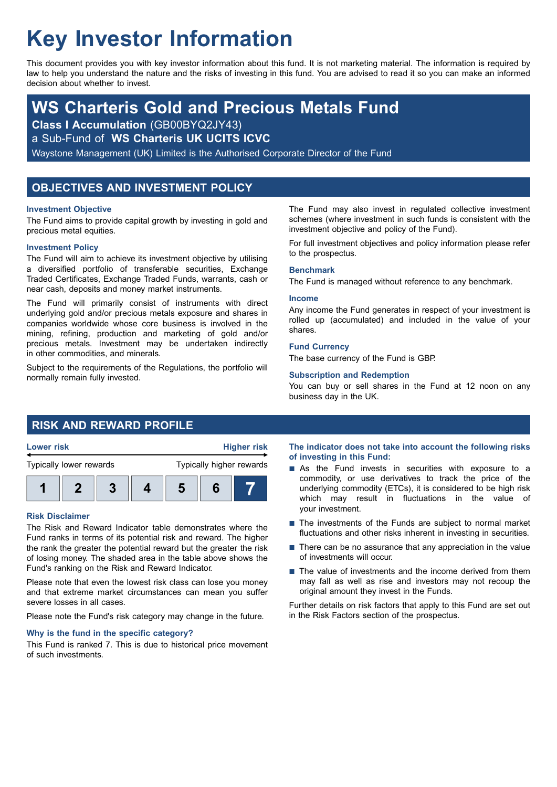# **Key Investor Information**

This document provides you with key investor information about this fund. It is not marketing material. The information is required by law to help you understand the nature and the risks of investing in this fund. You are advised to read it so you can make an informed decision about whether to invest.

## **WS Charteris Gold and Precious Metals Fund**

**Class I Accumulation** (GB00BYQ2JY43)

a Sub-Fund of **WS Charteris UK UCITS ICVC**

Waystone Management (UK) Limited is the Authorised Corporate Director of the Fund

## **OBJECTIVES AND INVESTMENT POLICY**

## **Investment Objective**

The Fund aims to provide capital growth by investing in gold and precious metal equities.

## **Investment Policy**

The Fund will aim to achieve its investment objective by utilising a diversified portfolio of transferable securities, Exchange Traded Certificates, Exchange Traded Funds, warrants, cash or near cash, deposits and money market instruments.

The Fund will primarily consist of instruments with direct underlying gold and/or precious metals exposure and shares in companies worldwide whose core business is involved in the mining, refining, production and marketing of gold and/or precious metals. Investment may be undertaken indirectly in other commodities, and minerals.

Subject to the requirements of the Regulations, the portfolio will normally remain fully invested.

The Fund may also invest in regulated collective investment schemes (where investment in such funds is consistent with the investment objective and policy of the Fund).

For full investment objectives and policy information please refer to the prospectus.

## **Benchmark**

The Fund is managed without reference to any benchmark.

## **Income**

**Lower risk Higher risk**

Any income the Fund generates in respect of your investment is rolled up (accumulated) and included in the value of your shares.

## **Fund Currency**

The base currency of the Fund is GBP.

## **Subscription and Redemption**

You can buy or sell shares in the Fund at 12 noon on any business day in the UK.

## **RISK AND REWARD PROFILE**

| <b>Lower risk</b> |  |  |
|-------------------|--|--|
|                   |  |  |



## **Risk Disclaimer**

The Risk and Reward Indicator table demonstrates where the Fund ranks in terms of its potential risk and reward. The higher the rank the greater the potential reward but the greater the risk of losing money. The shaded area in the table above shows the Fund's ranking on the Risk and Reward Indicator.

Please note that even the lowest risk class can lose you money and that extreme market circumstances can mean you suffer severe losses in all cases.

Please note the Fund's risk category may change in the future.

## **Why is the fund in the specific category?**

This Fund is ranked 7. This is due to historical price movement of such investments.

**The indicator does not take into account the following risks of investing in this Fund:**

- As the Fund invests in securities with exposure to a commodity, or use derivatives to track the price of the underlying commodity (ETCs), it is considered to be high risk which may result in fluctuations in the value of your investment.
- $\blacksquare$  The investments of the Funds are subject to normal market fluctuations and other risks inherent in investing in securities.
- $\blacksquare$  There can be no assurance that any appreciation in the value of investments will occur.
- $\blacksquare$  The value of investments and the income derived from them may fall as well as rise and investors may not recoup the original amount they invest in the Funds.

Further details on risk factors that apply to this Fund are set out in the Risk Factors section of the prospectus.